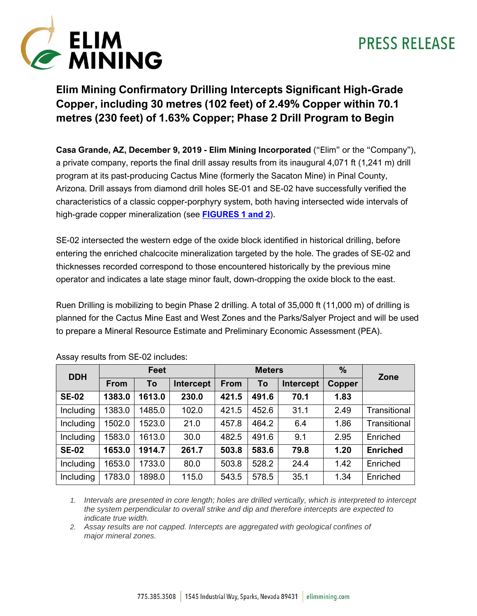



### **Elim Mining Confirmatory Drilling Intercepts Significant High-Grade Copper, including 30 metres (102 feet) of 2.49% Copper within 70.1 metres (230 feet) of 1.63% Copper; Phase 2 Drill Program to Begin**

**Casa Grande, AZ, December 9, 2019 - Elim Mining Incorporated** ("Elim" or the "Company"), a private company, reports the final drill assay results from its inaugural 4,071 ft (1,241 m) drill program at its past-producing Cactus Mine (formerly the Sacaton Mine) in Pinal County, Arizona. Drill assays from diamond drill holes SE-01 and SE-02 have successfully verified the characteristics of a classic copper-porphyry system, both having intersected wide intervals of high-grade copper mineralization (see **[FIGURES 1 and 2](https://cactusmine.com/2019-12-09-drilling-images/)**).

SE-02 intersected the western edge of the oxide block identified in historical drilling, before entering the enriched chalcocite mineralization targeted by the hole. The grades of SE-02 and thicknesses recorded correspond to those encountered historically by the previous mine operator and indicates a late stage minor fault, down-dropping the oxide block to the east.

Ruen Drilling is mobilizing to begin Phase 2 drilling. A total of 35,000 ft (11,000 m) of drilling is planned for the Cactus Mine East and West Zones and the Parks/Salyer Project and will be used to prepare a Mineral Resource Estimate and Preliminary Economic Assessment (PEA).

| <b>DDH</b>   | Feet        |        |           | <b>Meters</b> |       |           | %      | Zone                |
|--------------|-------------|--------|-----------|---------------|-------|-----------|--------|---------------------|
|              | <b>From</b> | To     | Intercept | From          | To    | Intercept | Copper |                     |
| <b>SE-02</b> | 1383.0      | 1613.0 | 230.0     | 421.5         | 491.6 | 70.1      | 1.83   |                     |
| Including    | 1383.0      | 1485.0 | 102.0     | 421.5         | 452.6 | 31.1      | 2.49   | Transitional        |
| Including    | 1502.0      | 1523.0 | 21.0      | 457.8         | 464.2 | 6.4       | 1.86   | <b>Transitional</b> |
| Including    | 1583.0      | 1613.0 | 30.0      | 482.5         | 491.6 | 9.1       | 2.95   | Enriched            |
| <b>SE-02</b> | 1653.0      | 1914.7 | 261.7     | 503.8         | 583.6 | 79.8      | 1.20   | <b>Enriched</b>     |
| Including    | 1653.0      | 1733.0 | 80.0      | 503.8         | 528.2 | 24.4      | 1.42   | Enriched            |
| Including    | 1783.0      | 1898.0 | 115.0     | 543.5         | 578.5 | 35.1      | 1.34   | Enriched            |

Assay results from SE-02 includes:

*1. Intervals are presented in core length; holes are drilled vertically, which is interpreted to intercept the system perpendicular to overall strike and dip and therefore intercepts are expected to indicate true width.*

*2. Assay results are not capped. Intercepts are aggregated with geological confines of major mineral zones.*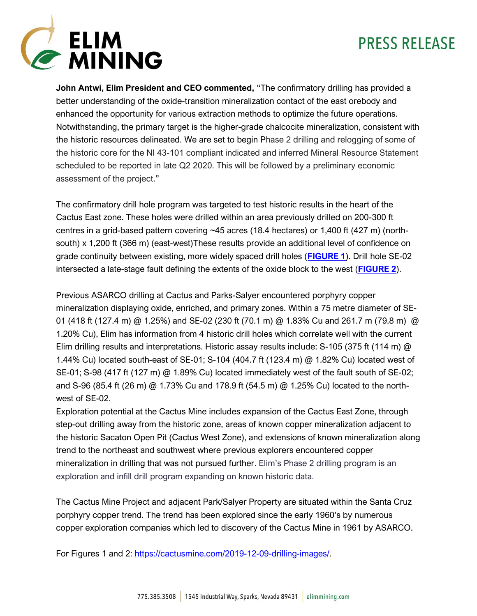

**John Antwi, Elim President and CEO commented,** "The confirmatory drilling has provided a better understanding of the oxide-transition mineralization contact of the east orebody and enhanced the opportunity for various extraction methods to optimize the future operations. Notwithstanding, the primary target is the higher-grade chalcocite mineralization, consistent with the historic resources delineated. We are set to begin Phase 2 drilling and relogging of some of the historic core for the NI 43-101 compliant indicated and inferred Mineral Resource Statement scheduled to be reported in late Q2 2020. This will be followed by a preliminary economic assessment of the project."

The confirmatory drill hole program was targeted to test historic results in the heart of the Cactus East zone. These holes were drilled within an area previously drilled on 200-300 ft centres in a grid-based pattern covering ~45 acres (18.4 hectares) or 1,400 ft (427 m) (northsouth) x 1,200 ft (366 m) (east-west)These results provide an additional level of confidence on grade continuity between existing, more widely spaced drill holes (**[FIGURE 1](https://cactusmine.com/2019-12-09-drilling-images/)**). Drill hole SE-02 intersected a late-stage fault defining the extents of the oxide block to the west (**[FIGURE 2](https://cactusmine.com/2019-12-09-drilling-images/)**).

Previous ASARCO drilling at Cactus and Parks-Salyer encountered porphyry copper mineralization displaying oxide, enriched, and primary zones. Within a 75 metre diameter of SE-01 (418 ft (127.4 m) @ 1.25%) and SE-02 (230 ft (70.1 m) @ 1.83% Cu and 261.7 m (79.8 m) @ 1.20% Cu), Elim has information from 4 historic drill holes which correlate well with the current Elim drilling results and interpretations. Historic assay results include: S-105 (375 ft (114 m)  $\omega$ 1.44% Cu) located south-east of SE-01; S-104 (404.7 ft (123.4 m) @ 1.82% Cu) located west of SE-01; S-98 (417 ft (127 m) @ 1.89% Cu) located immediately west of the fault south of SE-02; and S-96 (85.4 ft (26 m) @ 1.73% Cu and 178.9 ft (54.5 m) @ 1.25% Cu) located to the northwest of SE-02.

Exploration potential at the Cactus Mine includes expansion of the Cactus East Zone, through step-out drilling away from the historic zone, areas of known copper mineralization adjacent to the historic Sacaton Open Pit (Cactus West Zone), and extensions of known mineralization along trend to the northeast and southwest where previous explorers encountered copper mineralization in drilling that was not pursued further. Elim's Phase 2 drilling program is an exploration and infill drill program expanding on known historic data.

The Cactus Mine Project and adjacent Park/Salyer Property are situated within the Santa Cruz porphyry copper trend. The trend has been explored since the early 1960's by numerous copper exploration companies which led to discovery of the Cactus Mine in 1961 by ASARCO.

For Figures 1 and 2: [https://cactusmine.com/2019-12-09-drilling-images/.](https://cactusmine.com/2019-12-09-drilling-images/)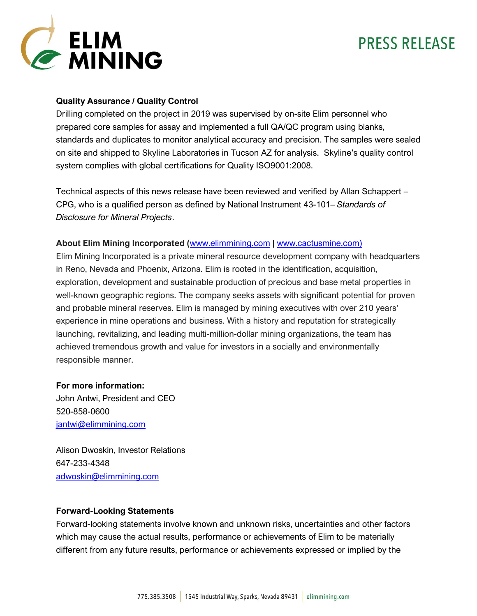

### **Quality Assurance / Quality Control**

Drilling completed on the project in 2019 was supervised by on-site Elim personnel who prepared core samples for assay and implemented a full QA/QC program using blanks, standards and duplicates to monitor analytical accuracy and precision. The samples were sealed on site and shipped to Skyline Laboratories in Tucson AZ for analysis. Skyline's quality control system complies with global certifications for Quality ISO9001:2008.

Technical aspects of this news release have been reviewed and verified by Allan Schappert – CPG, who is a qualified person as defined by National Instrument 43-101– *Standards of Disclosure for Mineral Projects*.

#### **About Elim Mining Incorporated (**[www.elimmining.com](http://www.elimmining.com/) **|** [www.cactusmine.com\)](http://www.cactusmine.com)/)

Elim Mining Incorporated is a private mineral resource development company with headquarters in Reno, Nevada and Phoenix, Arizona. Elim is rooted in the identification, acquisition, exploration, development and sustainable production of precious and base metal properties in well-known geographic regions. The company seeks assets with significant potential for proven and probable mineral reserves. Elim is managed by mining executives with over 210 years' experience in mine operations and business. With a history and reputation for strategically launching, revitalizing, and leading multi-million-dollar mining organizations, the team has achieved tremendous growth and value for investors in a socially and environmentally responsible manner.

#### **For more information:**

John Antwi, President and CEO 520-858-0600 [jantwi@elimmining.com](mailto:jantwi@elimmining.com)

Alison Dwoskin, Investor Relations 647-233-4348 [adwoskin@elimmining.com](mailto:adwoskin@elimmining.com)

#### **Forward-Looking Statements**

Forward-looking statements involve known and unknown risks, uncertainties and other factors which may cause the actual results, performance or achievements of Elim to be materially different from any future results, performance or achievements expressed or implied by the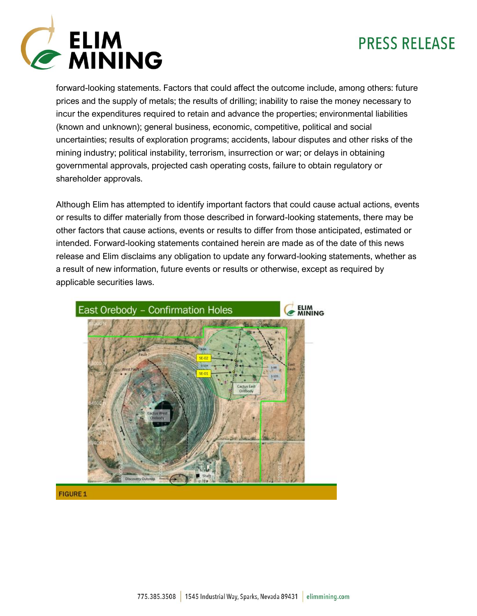

forward-looking statements. Factors that could affect the outcome include, among others: future prices and the supply of metals; the results of drilling; inability to raise the money necessary to incur the expenditures required to retain and advance the properties; environmental liabilities (known and unknown); general business, economic, competitive, political and social uncertainties; results of exploration programs; accidents, labour disputes and other risks of the mining industry; political instability, terrorism, insurrection or war; or delays in obtaining governmental approvals, projected cash operating costs, failure to obtain regulatory or shareholder approvals.

Although Elim has attempted to identify important factors that could cause actual actions, events or results to differ materially from those described in forward-looking statements, there may be other factors that cause actions, events or results to differ from those anticipated, estimated or intended. Forward-looking statements contained herein are made as of the date of this news release and Elim disclaims any obligation to update any forward-looking statements, whether as a result of new information, future events or results or otherwise, except as required by applicable securities laws.



#### FIGURE 1